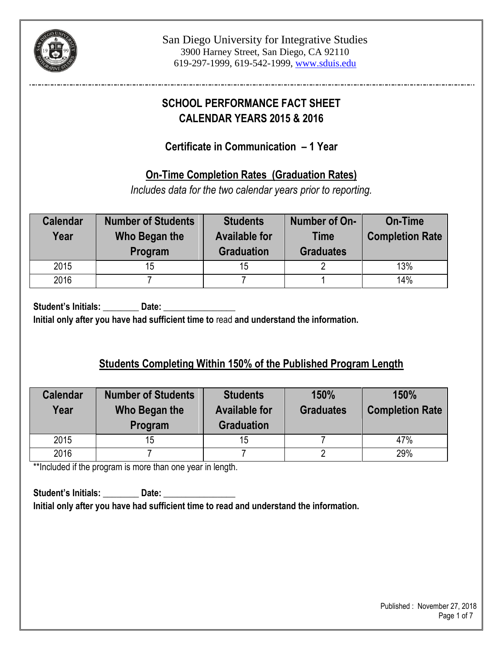

# **SCHOOL PERFORMANCE FACT SHEET CALENDAR YEARS 2015 & 2016**

**Certificate in Communication – 1 Year**

## **On-Time Completion Rates (Graduation Rates)**

*Includes data for the two calendar years prior to reporting.*

| <b>Calendar</b><br>Year | <b>Number of Students</b><br>Who Began the<br>Program | Number of On-<br><b>Students</b><br><b>Available for</b><br><b>Graduation</b> |  | <b>On-Time</b><br><b>Completion Rate</b> |
|-------------------------|-------------------------------------------------------|-------------------------------------------------------------------------------|--|------------------------------------------|
| 2015                    |                                                       | 15                                                                            |  | 13%                                      |
| 2016                    |                                                       |                                                                               |  | 14%                                      |

Student's Initials: Date:

**Initial only after you have had sufficient time to** read **and understand the information.**

# **Students Completing Within 150% of the Published Program Length**

| <b>Calendar</b><br>Year | <b>Number of Students</b><br>Who Began the<br>Program | <b>Students</b><br><b>Available for</b><br><b>Graduation</b> | 150%<br><b>Graduates</b> | 150%<br><b>Completion Rate</b> |
|-------------------------|-------------------------------------------------------|--------------------------------------------------------------|--------------------------|--------------------------------|
| 2015                    |                                                       | 15                                                           |                          | 47%                            |
| 2016                    |                                                       |                                                              |                          | 29%                            |

\*\*Included if the program is more than one year in length.

Student's Initials: \_\_\_\_\_\_\_\_ Date: \_\_\_\_\_\_\_\_ **Initial only after you have had sufficient time to read and understand the information.**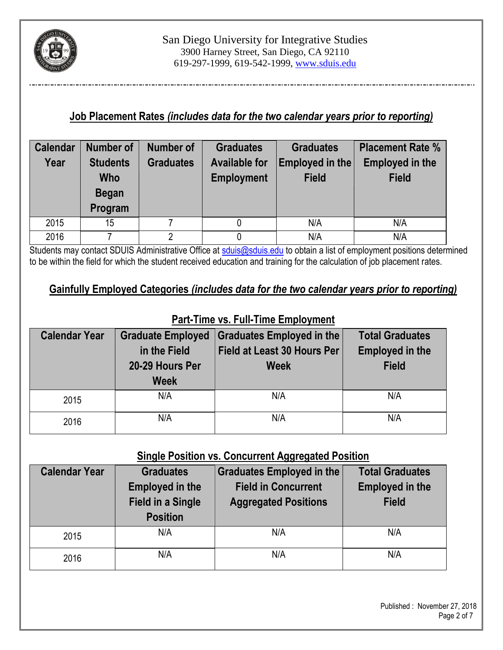

## **Job Placement Rates** *(includes data for the two calendar years prior to reporting)*

| <b>Calendar</b> | <b>Number of</b> | Number of        | <b>Graduates</b>     | <b>Graduates</b> | <b>Placement Rate %</b> |  |
|-----------------|------------------|------------------|----------------------|------------------|-------------------------|--|
| Year            | <b>Students</b>  | <b>Graduates</b> | <b>Available for</b> | Employed in the  | <b>Employed in the</b>  |  |
|                 | <b>Who</b>       |                  | <b>Employment</b>    | <b>Field</b>     | <b>Field</b>            |  |
|                 | <b>Began</b>     |                  |                      |                  |                         |  |
|                 | Program          |                  |                      |                  |                         |  |
| 2015            | 15               |                  |                      | N/A              | N/A                     |  |
| 2016            |                  |                  |                      | N/A              | N/A                     |  |

Students may contact SDUIS Administrative Office at [sduis@sduis.edu](mailto:sduis@sduis.edu) to obtain a list of employment positions determined to be within the field for which the student received education and training for the calculation of job placement rates.

## **Gainfully Employed Categories** *(includes data for the two calendar years prior to reporting)*

| <b>Calendar Year</b> | <b>Graduate Employed</b><br>in the Field<br>20-29 Hours Per | <b>Graduates Employed in the</b><br><b>Field at Least 30 Hours Per</b><br><b>Week</b> | <b>Total Graduates</b><br><b>Employed in the</b><br><b>Field</b> |  |
|----------------------|-------------------------------------------------------------|---------------------------------------------------------------------------------------|------------------------------------------------------------------|--|
|                      | <b>Week</b>                                                 |                                                                                       |                                                                  |  |
| 2015                 | N/A                                                         | N/A                                                                                   | N/A                                                              |  |
| 2016                 | N/A                                                         | N/A                                                                                   | N/A                                                              |  |

# **Part-Time vs. Full-Time Employment**

### **Single Position vs. Concurrent Aggregated Position**

| <b>Calendar Year</b> | <b>Graduates</b><br><b>Employed in the</b><br><b>Field in a Single</b><br><b>Position</b> | Graduates Employed in the<br><b>Field in Concurrent</b><br><b>Aggregated Positions</b> | <b>Total Graduates</b><br><b>Employed in the</b><br><b>Field</b> |
|----------------------|-------------------------------------------------------------------------------------------|----------------------------------------------------------------------------------------|------------------------------------------------------------------|
| 2015                 | N/A                                                                                       | N/A                                                                                    | N/A                                                              |
| 2016                 | N/A                                                                                       | N/A                                                                                    | N/A                                                              |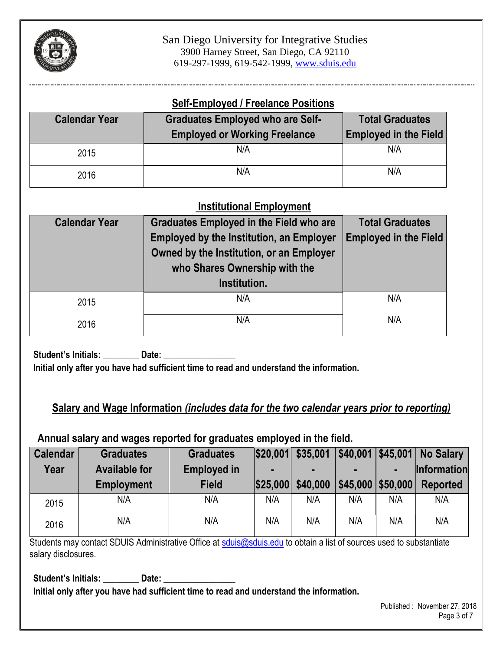

### **Self-Employed / Freelance Positions**

| <b>Calendar Year</b> | <b>Graduates Employed who are Self-</b><br><b>Employed or Working Freelance</b> | <b>Total Graduates</b><br><b>Employed in the Field</b> |  |
|----------------------|---------------------------------------------------------------------------------|--------------------------------------------------------|--|
| 2015                 | N/A                                                                             | N/A                                                    |  |
| 2016                 | N/A                                                                             | N/A                                                    |  |

### **Institutional Employment**

| <b>Calendar Year</b> | <b>Graduates Employed in the Field who are</b><br><b>Employed by the Institution, an Employer</b><br>Owned by the Institution, or an Employer<br>who Shares Ownership with the<br>Institution. | <b>Total Graduates</b><br><b>Employed in the Field</b> |  |
|----------------------|------------------------------------------------------------------------------------------------------------------------------------------------------------------------------------------------|--------------------------------------------------------|--|
| 2015                 | N/A                                                                                                                                                                                            | N/A                                                    |  |
| 2016                 | N/A                                                                                                                                                                                            | N/A                                                    |  |

Student's Initials: **Date:** Date: **Initial only after you have had sufficient time to read and understand the information.**

### **Salary and Wage Information** *(includes data for the two calendar years prior to reporting)*

## **Annual salary and wages reported for graduates employed in the field.**

| <b>Calendar</b> | <b>Graduates</b>     | <b>Graduates</b>   |          | $ $20,001 $ \$35,001 |                   |     | \$40,001 \$45,001 No Salary |
|-----------------|----------------------|--------------------|----------|----------------------|-------------------|-----|-----------------------------|
| Year            | <b>Available for</b> | <b>Employed in</b> |          |                      |                   |     | <b>Information</b>          |
|                 | <b>Employment</b>    | <b>Field</b>       | \$25,000 | \$40,000             | \$45,000 \$50,000 |     | Reported                    |
| 2015            | N/A                  | N/A                | N/A      | N/A                  | N/A               | N/A | N/A                         |
| 2016            | N/A                  | N/A                | N/A      | N/A                  | N/A               | N/A | N/A                         |

Students may contact SDUIS Administrative Office at [sduis@sduis.edu](mailto:sduis@sduis.edu) to obtain a list of sources used to substantiate salary disclosures.

Student's Initials: **Date:** Date: **Initial only after you have had sufficient time to read and understand the information.**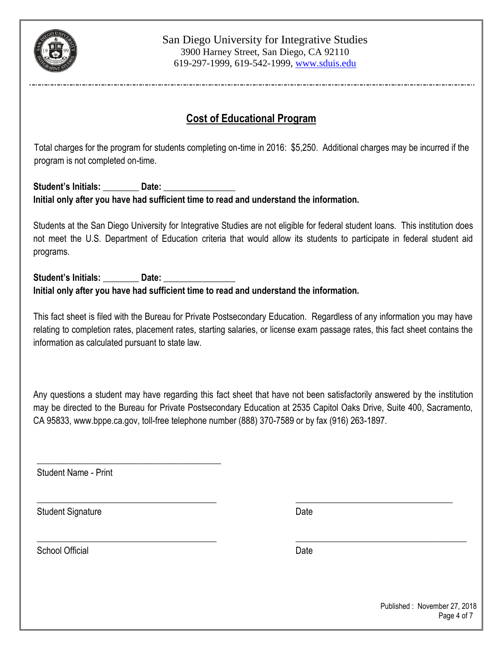

# **Cost of Educational Program**

 Total charges for the program for students completing on-time in 2016: \$5,250. Additional charges may be incurred if the program is not completed on-time.

#### Student's Initials: **Date: Initial only after you have had sufficient time to read and understand the information.**

Students at the San Diego University for Integrative Studies are not eligible for federal student loans. This institution does not meet the U.S. Department of Education criteria that would allow its students to participate in federal student aid programs.

#### **Student's Initials: \_\_\_\_\_\_\_\_ Date: \_\_\_\_\_\_\_\_\_\_\_\_\_\_\_\_ Initial only after you have had sufficient time to read and understand the information.**

This fact sheet is filed with the Bureau for Private Postsecondary Education. Regardless of any information you may have relating to completion rates, placement rates, starting salaries, or license exam passage rates, this fact sheet contains the information as calculated pursuant to state law.

Any questions a student may have regarding this fact sheet that have not been satisfactorily answered by the institution may be directed to the Bureau for Private Postsecondary Education at 2535 Capitol Oaks Drive, Suite 400, Sacramento, CA 95833[, www.bppe.ca.gov,](http://www.bppe.ca.gov/) toll-free telephone number (888) 370-7589 or by fax (916) 263-1897.

\_\_\_\_\_\_\_\_\_\_\_\_\_\_\_\_\_\_\_\_\_\_\_\_\_\_\_\_\_\_\_\_\_\_\_\_\_\_\_\_ \_\_\_\_\_\_\_\_\_\_\_\_\_\_\_\_\_\_\_\_\_\_\_\_\_\_\_\_\_\_\_\_\_\_\_

\_\_\_\_\_\_\_\_\_\_\_\_\_\_\_\_\_\_\_\_\_\_\_\_\_\_\_\_\_\_\_\_\_\_\_\_\_\_\_\_ \_\_\_\_\_\_\_\_\_\_\_\_\_\_\_\_\_\_\_\_\_\_\_\_\_\_\_\_\_\_\_\_\_\_\_\_\_\_

Student Name - Print

\_\_\_\_\_\_\_\_\_\_\_\_\_\_\_\_\_\_\_\_\_\_\_\_\_\_\_\_\_\_\_\_\_\_\_\_\_\_\_\_\_

Student Signature Date Date

School Official Date Date Date Date Date Date Date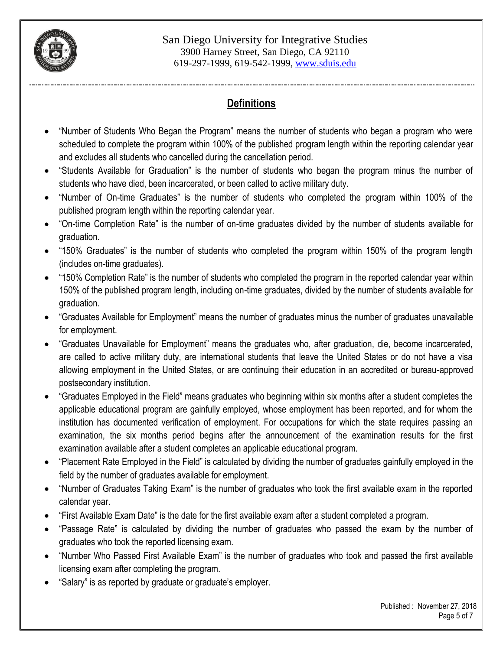

# **Definitions**

- "Number of Students Who Began the Program" means the number of students who began a program who were scheduled to complete the program within 100% of the published program length within the reporting calendar year and excludes all students who cancelled during the cancellation period.
- "Students Available for Graduation" is the number of students who began the program minus the number of students who have died, been incarcerated, or been called to active military duty.
- "Number of On-time Graduates" is the number of students who completed the program within 100% of the published program length within the reporting calendar year.
- "On-time Completion Rate" is the number of on-time graduates divided by the number of students available for graduation.
- "150% Graduates" is the number of students who completed the program within 150% of the program length (includes on-time graduates).
- "150% Completion Rate" is the number of students who completed the program in the reported calendar year within 150% of the published program length, including on-time graduates, divided by the number of students available for graduation.
- "Graduates Available for Employment" means the number of graduates minus the number of graduates unavailable for employment.
- "Graduates Unavailable for Employment" means the graduates who, after graduation, die, become incarcerated, are called to active military duty, are international students that leave the United States or do not have a visa allowing employment in the United States, or are continuing their education in an accredited or bureau-approved postsecondary institution.
- "Graduates Employed in the Field" means graduates who beginning within six months after a student completes the applicable educational program are gainfully employed, whose employment has been reported, and for whom the institution has documented verification of employment. For occupations for which the state requires passing an examination, the six months period begins after the announcement of the examination results for the first examination available after a student completes an applicable educational program.
- "Placement Rate Employed in the Field" is calculated by dividing the number of graduates gainfully employed in the field by the number of graduates available for employment.
- "Number of Graduates Taking Exam" is the number of graduates who took the first available exam in the reported calendar year.
- "First Available Exam Date" is the date for the first available exam after a student completed a program.
- "Passage Rate" is calculated by dividing the number of graduates who passed the exam by the number of graduates who took the reported licensing exam.
- "Number Who Passed First Available Exam" is the number of graduates who took and passed the first available licensing exam after completing the program.
- "Salary" is as reported by graduate or graduate's employer.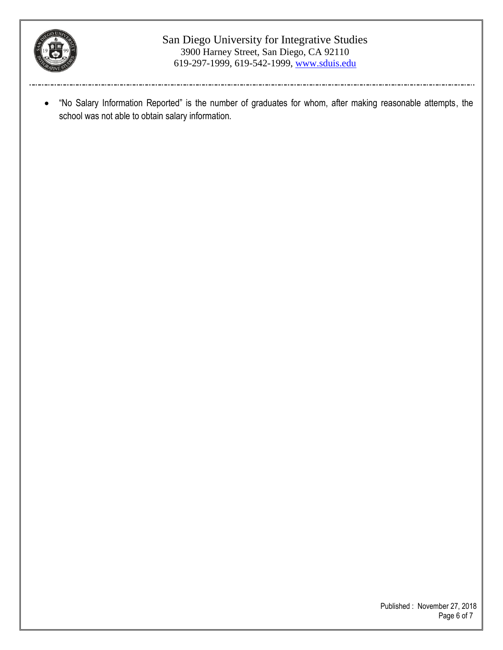

#### San Diego University for Integrative Studies 3900 Harney Street, San Diego, CA 92110 619-297-1999, 619-542-1999, www.sduis.edu

 "No Salary Information Reported" is the number of graduates for whom, after making reasonable attempts, the school was not able to obtain salary information.